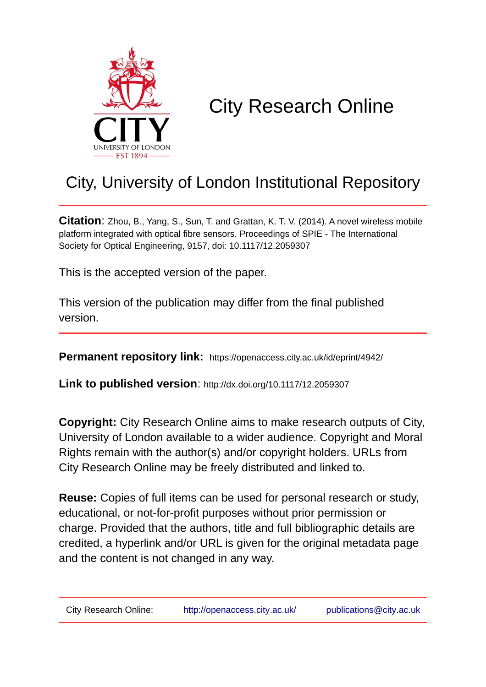

# City Research Online

## City, University of London Institutional Repository

**Citation**: Zhou, B., Yang, S., Sun, T. and Grattan, K. T. V. (2014). A novel wireless mobile platform integrated with optical fibre sensors. Proceedings of SPIE - The International Society for Optical Engineering, 9157, doi: 10.1117/12.2059307

This is the accepted version of the paper.

This version of the publication may differ from the final published version.

**Permanent repository link:** https://openaccess.city.ac.uk/id/eprint/4942/

**Link to published version**: http://dx.doi.org/10.1117/12.2059307

**Copyright:** City Research Online aims to make research outputs of City, University of London available to a wider audience. Copyright and Moral Rights remain with the author(s) and/or copyright holders. URLs from City Research Online may be freely distributed and linked to.

**Reuse:** Copies of full items can be used for personal research or study, educational, or not-for-profit purposes without prior permission or charge. Provided that the authors, title and full bibliographic details are credited, a hyperlink and/or URL is given for the original metadata page and the content is not changed in any way.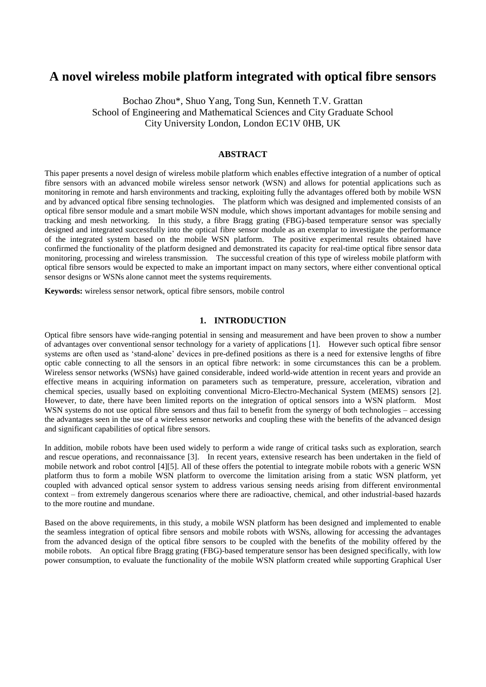### **A novel wireless mobile platform integrated with optical fibre sensors**

Bochao Zhou\*, Shuo Yang, Tong Sun, Kenneth T.V. Grattan School of Engineering and Mathematical Sciences and City Graduate School City University London, London EC1V 0HB, UK

#### **ABSTRACT**

This paper presents a novel design of wireless mobile platform which enables effective integration of a number of optical fibre sensors with an advanced mobile wireless sensor network (WSN) and allows for potential applications such as monitoring in remote and harsh environments and tracking, exploiting fully the advantages offered both by mobile WSN and by advanced optical fibre sensing technologies. The platform which was designed and implemented consists of an optical fibre sensor module and a smart mobile WSN module, which shows important advantages for mobile sensing and tracking and mesh networking. In this study, a fibre Bragg grating (FBG)-based temperature sensor was specially designed and integrated successfully into the optical fibre sensor module as an exemplar to investigate the performance of the integrated system based on the mobile WSN platform. The positive experimental results obtained have confirmed the functionality of the platform designed and demonstrated its capacity for real-time optical fibre sensor data monitoring, processing and wireless transmission. The successful creation of this type of wireless mobile platform with optical fibre sensors would be expected to make an important impact on many sectors, where either conventional optical sensor designs or WSNs alone cannot meet the systems requirements.

**Keywords:** wireless sensor network, optical fibre sensors, mobile control

#### **1. INTRODUCTION**

Optical fibre sensors have wide-ranging potential in sensing and measurement and have been proven to show a number of advantages over conventional sensor technology for a variety of applications [1]. However such optical fibre sensor systems are often used as 'stand-alone' devices in pre-defined positions as there is a need for extensive lengths of fibre optic cable connecting to all the sensors in an optical fibre network: in some circumstances this can be a problem. Wireless sensor networks (WSNs) have gained considerable, indeed world-wide attention in recent years and provide an effective means in acquiring information on parameters such as temperature, pressure, acceleration, vibration and chemical species, usually based on exploiting conventional Micro-Electro-Mechanical System (MEMS) sensors [2]. However, to date, there have been limited reports on the integration of optical sensors into a WSN platform. Most WSN systems do not use optical fibre sensors and thus fail to benefit from the synergy of both technologies – accessing the advantages seen in the use of a wireless sensor networks and coupling these with the benefits of the advanced design and significant capabilities of optical fibre sensors.

In addition, mobile robots have been used widely to perform a wide range of critical tasks such as exploration, search and rescue operations, and reconnaissance [3]. In recent years, extensive research has been undertaken in the field of mobile network and robot control [4][5]. All of these offers the potential to integrate mobile robots with a generic WSN platform thus to form a mobile WSN platform to overcome the limitation arising from a static WSN platform, yet coupled with advanced optical sensor system to address various sensing needs arising from different environmental context – from extremely dangerous scenarios where there are radioactive, chemical, and other industrial-based hazards to the more routine and mundane.

Based on the above requirements, in this study, a mobile WSN platform has been designed and implemented to enable the seamless integration of optical fibre sensors and mobile robots with WSNs, allowing for accessing the advantages from the advanced design of the optical fibre sensors to be coupled with the benefits of the mobility offered by the mobile robots. An optical fibre Bragg grating (FBG)-based temperature sensor has been designed specifically, with low power consumption, to evaluate the functionality of the mobile WSN platform created while supporting Graphical User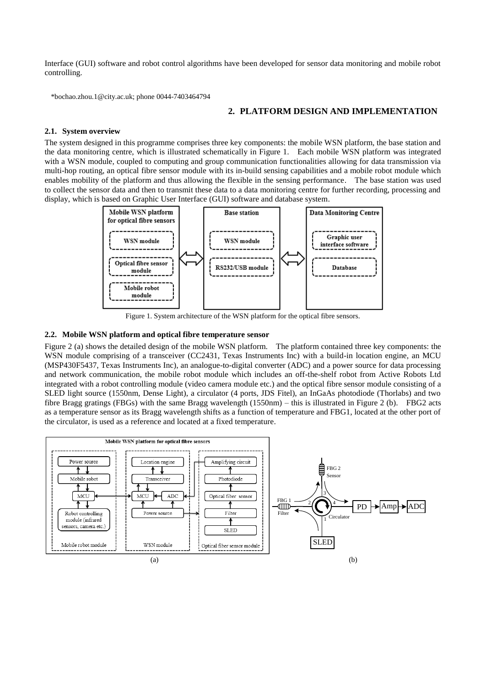Interface (GUI) software and robot control algorithms have been developed for sensor data monitoring and mobile robot controlling.

\*bochao.zhou.1@city.ac.uk; phone 0044-7403464794

#### **2. PLATFORM DESIGN AND IMPLEMENTATION**

#### **2.1. System overview**

The system designed in this programme comprises three key components: the mobile WSN platform, the base station and the data monitoring centre, which is illustrated schematically in Figure 1. Each mobile WSN platform was integrated with a WSN module, coupled to computing and group communication functionalities allowing for data transmission via multi-hop routing, an optical fibre sensor module with its in-build sensing capabilities and a mobile robot module which enables mobility of the platform and thus allowing the flexible in the sensing performance. The base station was used to collect the sensor data and then to transmit these data to a data monitoring centre for further recording, processing and display, which is based on Graphic User Interface (GUI) software and database system.



Figure 1. System architecture of the WSN platform for the optical fibre sensors.

#### **2.2. Mobile WSN platform and optical fibre temperature sensor**

Figure 2 (a) shows the detailed design of the mobile WSN platform. The platform contained three key components: the WSN module comprising of a transceiver (CC2431, Texas Instruments Inc) with a build-in location engine, an MCU (MSP430F5437, Texas Instruments Inc), an analogue-to-digital converter (ADC) and a power source for data processing and network communication, the mobile robot module which includes an off-the-shelf robot from Active Robots Ltd integrated with a robot controlling module (video camera module etc.) and the optical fibre sensor module consisting of a SLED light source (1550nm, Dense Light), a circulator (4 ports, JDS Fitel), an InGaAs photodiode (Thorlabs) and two fibre Bragg gratings (FBGs) with the same Bragg wavelength (1550nm) – this is illustrated in Figure 2 (b). FBG2 acts as a temperature sensor as its Bragg wavelength shifts as a function of temperature and FBG1, located at the other port of the circulator, is used as a reference and located at a fixed temperature.

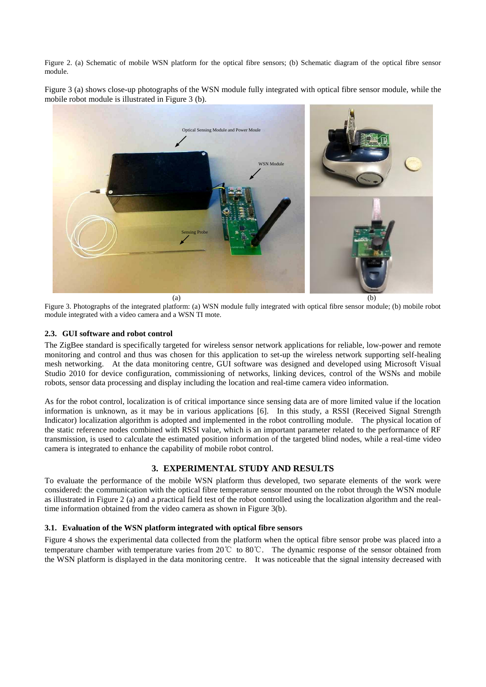Figure 2. (a) Schematic of mobile WSN platform for the optical fibre sensors; (b) Schematic diagram of the optical fibre sensor module.

Figure 3 (a) shows close-up photographs of the WSN module fully integrated with optical fibre sensor module, while the mobile robot module is illustrated in Figure 3 (b).



Figure 3. Photographs of the integrated platform: (a) WSN module fully integrated with optical fibre sensor module; (b) mobile robot module integrated with a video camera and a WSN TI mote.

#### **2.3. GUI software and robot control**

The ZigBee standard is specifically targeted for wireless sensor network applications for reliable, low-power and remote monitoring and control and thus was chosen for this application to set-up the wireless network supporting self-healing mesh networking. At the data monitoring centre, GUI software was designed and developed using Microsoft Visual Studio 2010 for device configuration, commissioning of networks, linking devices, control of the WSNs and mobile robots, sensor data processing and display including the location and real-time camera video information.

As for the robot control, localization is of critical importance since sensing data are of more limited value if the location information is unknown, as it may be in various applications [6]. In this study, a RSSI (Received Signal Strength Indicator) localization algorithm is adopted and implemented in the robot controlling module. The physical location of the static reference nodes combined with RSSI value, which is an important parameter related to the performance of RF transmission, is used to calculate the estimated position information of the targeted blind nodes, while a real-time video camera is integrated to enhance the capability of mobile robot control.

#### **3. EXPERIMENTAL STUDY AND RESULTS**

To evaluate the performance of the mobile WSN platform thus developed, two separate elements of the work were considered: the communication with the optical fibre temperature sensor mounted on the robot through the WSN module as illustrated in Figure 2 (a) and a practical field test of the robot controlled using the localization algorithm and the realtime information obtained from the video camera as shown in Figure 3(b).

#### **3.1. Evaluation of the WSN platform integrated with optical fibre sensors**

Figure 4 shows the experimental data collected from the platform when the optical fibre sensor probe was placed into a temperature chamber with temperature varies from 20℃ to 80℃. The dynamic response of the sensor obtained from the WSN platform is displayed in the data monitoring centre. It was noticeable that the signal intensity decreased with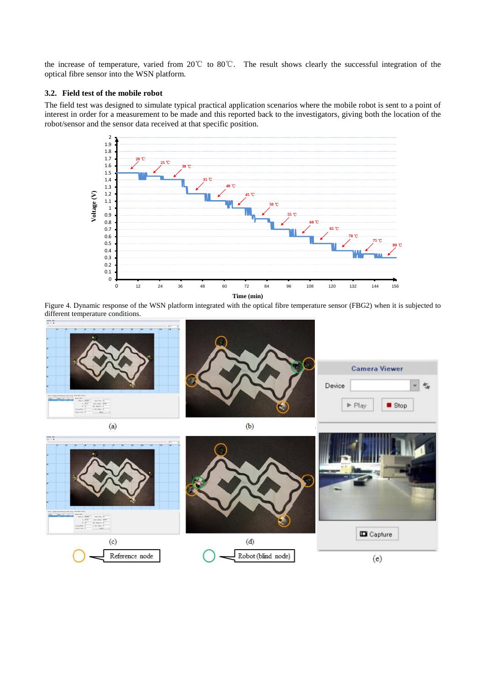the increase of temperature, varied from 20℃ to 80℃. The result shows clearly the successful integration of the optical fibre sensor into the WSN platform.

#### **3.2. Field test of the mobile robot**

The field test was designed to simulate typical practical application scenarios where the mobile robot is sent to a point of interest in order for a measurement to be made and this reported back to the investigators, giving both the location of the robot/sensor and the sensor data received at that specific position.



Figure 4. Dynamic response of the WSN platform integrated with the optical fibre temperature sensor (FBG2) when it is subjected to different temperature conditions.